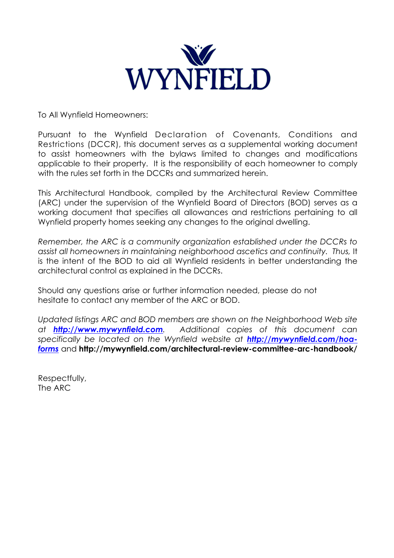

To All Wynfield Homeowners:

Pursuant to the Wynfield Declaration of Covenants, Conditions and Restrictions (DCCR), this document serves as a supplemental working document to assist homeowners with the bylaws limited to changes and modifications applicable to their property. It is the responsibility of each homeowner to comply with the rules set forth in the DCCRs and summarized herein.

This Architectural Handbook, compiled by the Architectural Review Committee (ARC) under the supervision of the Wynfield Board of Directors (BOD) serves as a working document that specifies all allowances and restrictions pertaining to all Wynfield property homes seeking any changes to the original dwelling.

*Remember, the ARC is a community organization established under the DCCRs to assist all homeowners in maintaining neighborhood ascetics and continuity. Thus,* It is the intent of the BOD to aid all Wynfield residents in better understanding the architectural control as explained in the DCCRs.

Should any questions arise or further information needed, please do not hesitate to contact any member of the ARC or BOD.

*Updated listings ARC and BOD members are shown on the Neighborhood Web site at http://www.mywynfield.com. Additional copies of this document can specifically be located on the Wynfield website at http://mywynfield.com/hoaforms* and **http://mywynfield.com/architectural-review-committee-arc-handbook/**

Respectfully, The ARC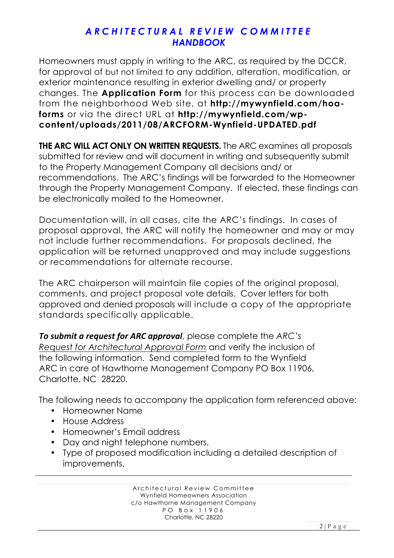Homeowners must apply in writing to the ARC, as required by the DCCR, for approval of but not limited to any addition, alteration, modification, or exterior maintenance resulting in exterior dwelling and/ or property changes. The **Application Form** for this process can be downloaded from the neighborhood Web site, at **http://mywynfield.com/hoaforms** or via the direct URL at **http://mywynfield.com/wpcontent/uploads/2011/08/ARCFORM-Wynfield-UPDATED.pdf**

**THE ARC WILL ACT ONLY ON WRITTEN REQUESTS.** The ARC examines all proposals submitted for review and will document in writing and subsequently submit to the Property Management Company all decisions and/ or recommendations. The ARC's findings will be forwarded to the Homeowner through the Property Management Company. If elected, these findings can be electronically mailed to the Homeowner.

Documentation will, in all cases, cite the ARC's findings. In cases of proposal approval, the ARC will notify the homeowner and may or may not include further recommendations. For proposals declined, the application will be returned unapproved and may include suggestions or recommendations for alternate recourse.

The ARC chairperson will maintain file copies of the original proposal, comments, and project proposal vote details. Cover letters for both approved and denied proposals will include a copy of the appropriate standards specifically applicable.

*To submit a request for ARC approval, please complete the ARC's Request for Architectural Approval Form* and verify the inclusion of the following information. Send completed form to the Wynfield ARC in care of Hawthorne Management Company PO Box 11906, Charlotte, NC 28220.

The following needs to accompany the application form referenced above:

- Homeowner Name
- House Address
- Homeowner's Email address
- Day and night telephone numbers,
- Type of proposed modification including a detailed description of improvements,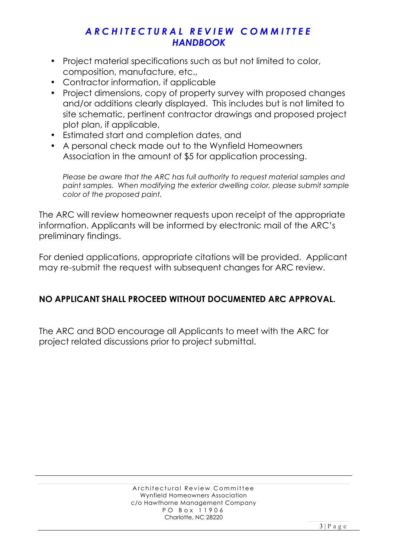- Project material specifications such as but not limited to color, composition, manufacture, etc.,
- Contractor information, if applicable
- Project dimensions, copy of property survey with proposed changes and/or additions clearly displayed. This includes but is not limited to site schematic, pertinent contractor drawings and proposed project plot plan, if applicable,
- Estimated start and completion dates, and
- A personal check made out to the Wynfield Homeowners Association in the amount of \$5 for application processing.

*Please be aware that the ARC has full authority to request material samples and paint samples. When modifying the exterior dwelling color, please submit sample color of the proposed paint.*

The ARC will review homeowner requests upon receipt of the appropriate information. Applicants will be informed by electronic mail of the ARC's preliminary findings.

For denied applications, appropriate citations will be provided. Applicant may re-submit the request with subsequent changes for ARC review.

# **NO APPLICANT SHALL PROCEED WITHOUT DOCUMENTED ARC APPROVAL.**

The ARC and BOD encourage all Applicants to meet with the ARC for project related discussions prior to project submittal.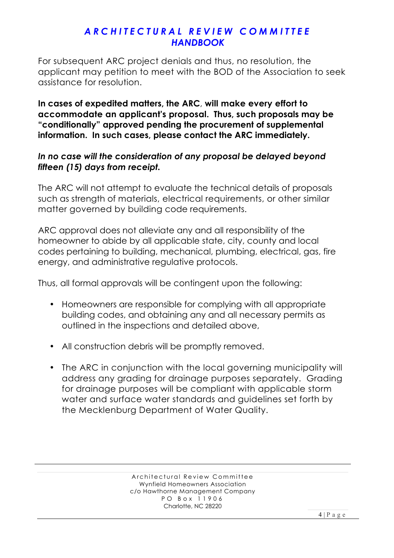For subsequent ARC project denials and thus, no resolution, the applicant may petition to meet with the BOD of the Association to seek assistance for resolution.

**In cases of expedited matters, the ARC**, **will make every effort to accommodate an applicant's proposal. Thus, such proposals may be "conditionally" approved pending the procurement of supplemental information. In such cases, please contact the ARC immediately.** 

#### *In no case will the consideration of any proposal be delayed beyond fifteen (15) days from receipt.*

The ARC will not attempt to evaluate the technical details of proposals such as strength of materials, electrical requirements, or other similar matter governed by building code requirements.

ARC approval does not alleviate any and all responsibility of the homeowner to abide by all applicable state, city, county and local codes pertaining to building, mechanical, plumbing, electrical, gas, fire energy, and administrative regulative protocols.

Thus, all formal approvals will be contingent upon the following:

- Homeowners are responsible for complying with all appropriate building codes, and obtaining any and all necessary permits as outlined in the inspections and detailed above,
- All construction debris will be promptly removed.
- The ARC in conjunction with the local governing municipality will address any grading for drainage purposes separately. Grading for drainage purposes will be compliant with applicable storm water and surface water standards and guidelines set forth by the Mecklenburg Department of Water Quality.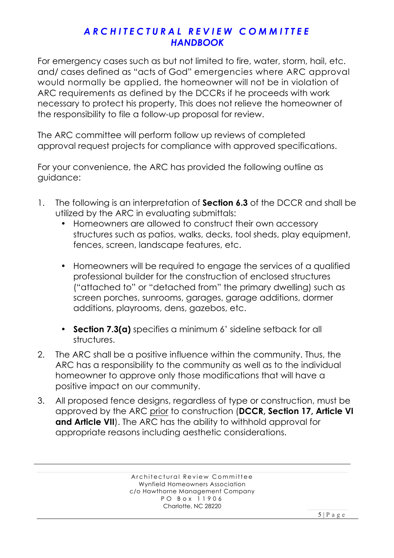For emergency cases such as but not limited to fire, water, storm, hail, etc. and/ cases defined as "acts of God" emergencies where ARC approval would normally be applied, the homeowner will not be in violation of ARC requirements as defined by the DCCRs if he proceeds with work necessary to protect his property, This does not relieve the homeowner of the responsibility to file a follow-up proposal for review.

The ARC committee will perform follow up reviews of completed approval request projects for compliance with approved specifications.

For your convenience, the ARC has provided the following outline as guidance:

- 1. The following is an interpretation of **Section 6.3** of the DCCR and shall be utilized by the ARC in evaluating submittals:
	- Homeowners are allowed to construct their own accessory structures such as patios, walks, decks, tool sheds, play equipment, fences, screen, landscape features, etc.
	- Homeowners will be required to engage the services of a qualified professional builder for the construction of enclosed structures ("attached to" or "detached from" the primary dwelling) such as screen porches, sunrooms, garages, garage additions, dormer additions, playrooms, dens, gazebos, etc.
	- **Section 7.3(a)** specifies a minimum 6' sideline setback for all structures.
- 2. The ARC shall be a positive influence within the community. Thus, the ARC has a responsibility to the community as well as to the individual homeowner to approve only those modifications that will have a positive impact on our community.
- 3. All proposed fence designs, regardless of type or construction, must be approved by the ARC prior to construction (**DCCR, Section 17, Article VI**  and Article VII). The ARC has the ability to withhold approval for appropriate reasons including aesthetic considerations.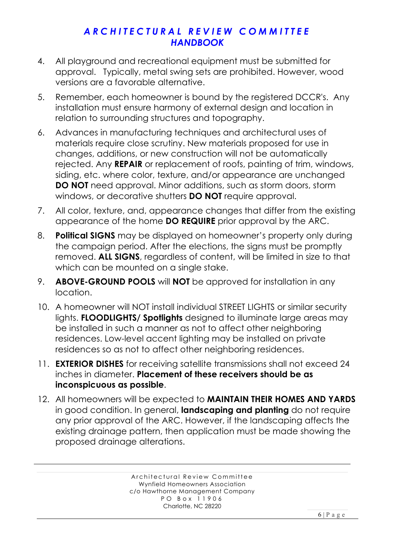- 4. All playground and recreational equipment must be submitted for approval. Typically, metal swing sets are prohibited. However, wood versions are a favorable alternative.
- 5. Remember, each homeowner is bound by the registered DCCR's. Any installation must ensure harmony of external design and location in relation to surrounding structures and topography.
- 6. Advances in manufacturing techniques and architectural uses of materials require close scrutiny. New materials proposed for use in changes, additions, or new construction will not be automatically rejected. Any **REPAIR** or replacement of roofs, painting of trim, windows, siding, etc. where color, texture, and/or appearance are unchanged **DO NOT** need approval. Minor additions, such as storm doors, storm windows, or decorative shutters **DO NOT** require approval.
- 7. All color, texture, and, appearance changes that differ from the existing appearance of the home **DO REQUIRE** prior approval by the ARC.
- 8. **Political SIGNS** may be displayed on homeowner's property only during the campaign period. After the elections, the signs must be promptly removed. **ALL SIGNS**, regardless of content, will be limited in size to that which can be mounted on a single stake.
- 9. **ABOVE-GROUND POOLS** will **NOT** be approved for installation in any location.
- 10. A homeowner will NOT install individual STREET LIGHTS or similar security lights. **FLOODLIGHTS/ Spotlights** designed to illuminate large areas may be installed in such a manner as not to affect other neighboring residences. Low-level accent lighting may be installed on private residences so as not to affect other neighboring residences.
- 11. **EXTERIOR DISHES** for receiving satellite transmissions shall not exceed 24 inches in diameter. **Placement of these receivers should be as inconspicuous as possible**.
- 12. All homeowners will be expected to **MAINTAIN THEIR HOMES AND YARDS** in good condition. In general, **landscaping and planting** do not require any prior approval of the ARC. However, if the landscaping affects the existing drainage pattern, then application must be made showing the proposed drainage alterations.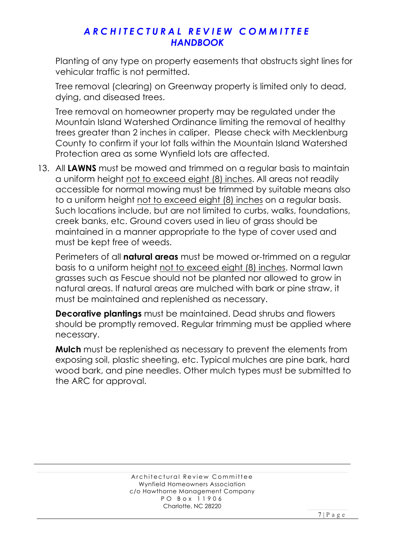Planting of any type on property easements that obstructs sight lines for vehicular traffic is not permitted.

Tree removal (clearing) on Greenway property is limited only to dead, dying, and diseased trees.

Tree removal on homeowner property may be regulated under the Mountain Island Watershed Ordinance limiting the removal of healthy trees greater than 2 inches in caliper. Please check with Mecklenburg County to confirm if your lot falls within the Mountain Island Watershed Protection area as some Wynfield lots are affected.

13. All **LAWNS** must be mowed and trimmed on a regular basis to maintain a uniform height not to exceed eight (8) inches. All areas not readily accessible for normal mowing must be trimmed by suitable means also to a uniform height not to exceed eight (8) inches on a regular basis. Such locations include, but are not limited to curbs, walks, foundations, creek banks, etc. Ground covers used in lieu of grass should be maintained in a manner appropriate to the type of cover used and must be kept free of weeds.

Perimeters of all **natural areas** must be mowed or-trimmed on a regular basis to a uniform height not to exceed eight (8) inches. Normal lawn grasses such as Fescue should not be planted nor allowed to grow in natural areas. If natural areas are mulched with bark or pine straw, it must be maintained and replenished as necessary.

**Decorative plantings** must be maintained. Dead shrubs and flowers should be promptly removed. Regular trimming must be applied where necessary.

**Mulch** must be replenished as necessary to prevent the elements from exposing soil, plastic sheeting, etc. Typical mulches are pine bark, hard wood bark, and pine needles. Other mulch types must be submitted to the ARC for approval.